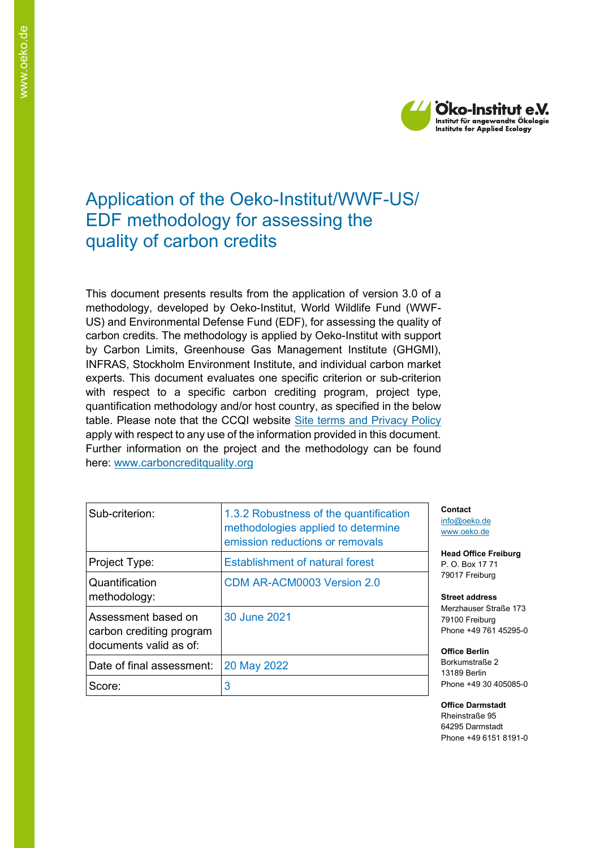

## Application of the Oeko-Institut/WWF-US/ EDF methodology for assessing the quality of carbon credits

This document presents results from the application of version 3.0 of a methodology, developed by Oeko-Institut, World Wildlife Fund (WWF-US) and Environmental Defense Fund (EDF), for assessing the quality of carbon credits. The methodology is applied by Oeko-Institut with support by Carbon Limits, Greenhouse Gas Management Institute (GHGMI), INFRAS, Stockholm Environment Institute, and individual carbon market experts. This document evaluates one specific criterion or sub-criterion with respect to a specific carbon crediting program, project type, quantification methodology and/or host country, as specified in the below table. Please note that the CCQI website [Site terms and Privacy Policy](https://carboncreditquality.org/terms.html) apply with respect to any use of the information provided in this document. Further information on the project and the methodology can be found here: [www.carboncreditquality.org](http://www.carboncreditquality.org/)

| Sub-criterion:                                                            | 1.3.2 Robustness of the quantification<br>methodologies applied to determine<br>emission reductions or removals |
|---------------------------------------------------------------------------|-----------------------------------------------------------------------------------------------------------------|
| Project Type:                                                             | <b>Establishment of natural forest</b>                                                                          |
| Quantification<br>methodology:                                            | CDM AR-ACM0003 Version 2.0                                                                                      |
| Assessment based on<br>carbon crediting program<br>documents valid as of: | 30 June 2021                                                                                                    |
| Date of final assessment:                                                 | 20 May 2022                                                                                                     |
| Score:                                                                    | 3                                                                                                               |

**Contact** [info@oeko.de](mailto:info@oeko.de) [www.oeko.de](http://www.oeko.de/)

**Head Office Freiburg** P. O. Box 17 71 79017 Freiburg

**Street address** Merzhauser Straße 173 79100 Freiburg Phone +49 761 45295-0

**Office Berlin** Borkumstraße 2 13189 Berlin Phone +49 30 405085-0

**Office Darmstadt** Rheinstraße 95 64295 Darmstadt Phone +49 6151 8191-0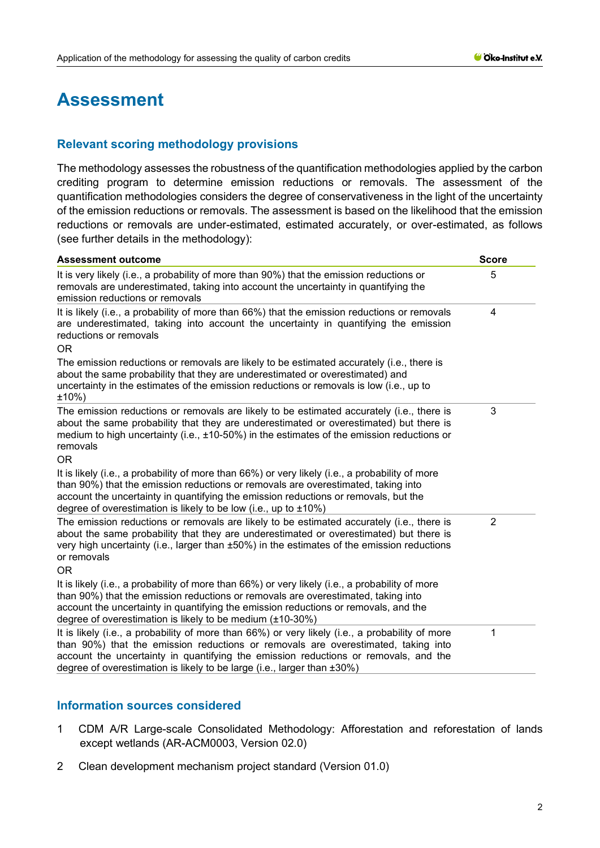# **Assessment**

## **Relevant scoring methodology provisions**

The methodology assesses the robustness of the quantification methodologies applied by the carbon crediting program to determine emission reductions or removals. The assessment of the quantification methodologies considers the degree of conservativeness in the light of the uncertainty of the emission reductions or removals. The assessment is based on the likelihood that the emission reductions or removals are under-estimated, estimated accurately, or over-estimated, as follows (see further details in the methodology):

| <b>Assessment outcome</b>                                                                                                                                                                                                                                                                                                                              | <b>Score</b>   |
|--------------------------------------------------------------------------------------------------------------------------------------------------------------------------------------------------------------------------------------------------------------------------------------------------------------------------------------------------------|----------------|
| It is very likely (i.e., a probability of more than 90%) that the emission reductions or<br>removals are underestimated, taking into account the uncertainty in quantifying the<br>emission reductions or removals                                                                                                                                     | 5              |
| It is likely (i.e., a probability of more than 66%) that the emission reductions or removals<br>are underestimated, taking into account the uncertainty in quantifying the emission<br>reductions or removals<br>OR.                                                                                                                                   | 4              |
| The emission reductions or removals are likely to be estimated accurately (i.e., there is<br>about the same probability that they are underestimated or overestimated) and<br>uncertainty in the estimates of the emission reductions or removals is low (i.e., up to<br>±10%)                                                                         |                |
| The emission reductions or removals are likely to be estimated accurately (i.e., there is<br>about the same probability that they are underestimated or overestimated) but there is<br>medium to high uncertainty (i.e., $\pm$ 10-50%) in the estimates of the emission reductions or<br>removals<br><b>OR</b>                                         | 3              |
| It is likely (i.e., a probability of more than 66%) or very likely (i.e., a probability of more<br>than 90%) that the emission reductions or removals are overestimated, taking into<br>account the uncertainty in quantifying the emission reductions or removals, but the<br>degree of overestimation is likely to be low (i.e., up to $\pm 10\%$ )  |                |
| The emission reductions or removals are likely to be estimated accurately (i.e., there is<br>about the same probability that they are underestimated or overestimated) but there is<br>very high uncertainty (i.e., larger than ±50%) in the estimates of the emission reductions<br>or removals<br>OR.                                                | $\overline{2}$ |
| It is likely (i.e., a probability of more than 66%) or very likely (i.e., a probability of more<br>than 90%) that the emission reductions or removals are overestimated, taking into<br>account the uncertainty in quantifying the emission reductions or removals, and the<br>degree of overestimation is likely to be medium (±10-30%)               |                |
| It is likely (i.e., a probability of more than 66%) or very likely (i.e., a probability of more<br>than 90%) that the emission reductions or removals are overestimated, taking into<br>account the uncertainty in quantifying the emission reductions or removals, and the<br>degree of overestimation is likely to be large (i.e., larger than ±30%) | 1              |

## **Information sources considered**

- 1 CDM A/R Large-scale Consolidated Methodology: Afforestation and reforestation of lands except wetlands (AR-ACM0003, Version 02.0)
- 2 Clean development mechanism project standard (Version 01.0)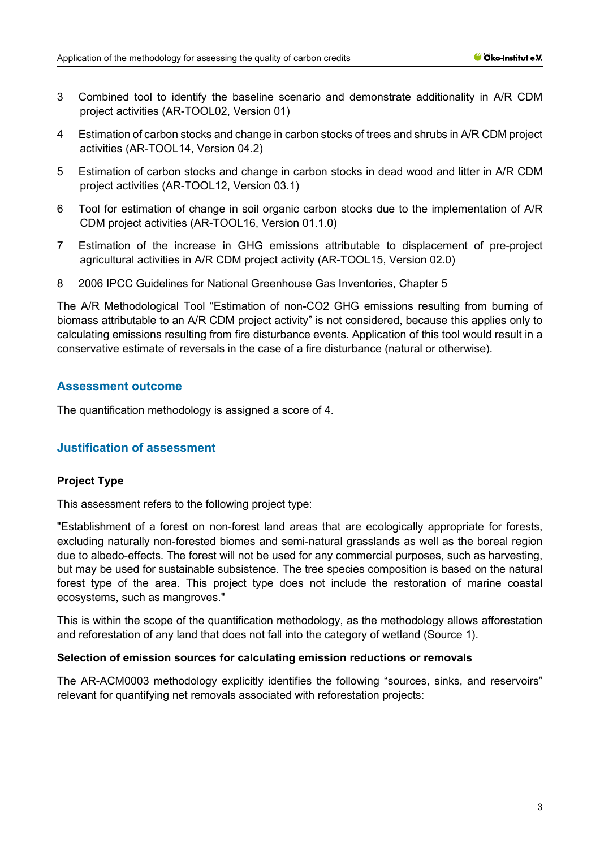- 3 Combined tool to identify the baseline scenario and demonstrate additionality in A/R CDM project activities (AR-TOOL02, Version 01)
- 4 Estimation of carbon stocks and change in carbon stocks of trees and shrubs in A/R CDM project activities (AR-TOOL14, Version 04.2)
- 5 Estimation of carbon stocks and change in carbon stocks in dead wood and litter in A/R CDM project activities (AR-TOOL12, Version 03.1)
- 6 Tool for estimation of change in soil organic carbon stocks due to the implementation of A/R CDM project activities (AR-TOOL16, Version 01.1.0)
- 7 Estimation of the increase in GHG emissions attributable to displacement of pre-project agricultural activities in A/R CDM project activity (AR-TOOL15, Version 02.0)
- 8 2006 IPCC Guidelines for National Greenhouse Gas Inventories, Chapter 5

The A/R Methodological Tool "Estimation of non-CO2 GHG emissions resulting from burning of biomass attributable to an A/R CDM project activity" is not considered, because this applies only to calculating emissions resulting from fire disturbance events. Application of this tool would result in a conservative estimate of reversals in the case of a fire disturbance (natural or otherwise).

## **Assessment outcome**

The quantification methodology is assigned a score of 4.

## **Justification of assessment**

#### **Project Type**

This assessment refers to the following project type:

"Establishment of a forest on non-forest land areas that are ecologically appropriate for forests, excluding naturally non-forested biomes and semi-natural grasslands as well as the boreal region due to albedo-effects. The forest will not be used for any commercial purposes, such as harvesting, but may be used for sustainable subsistence. The tree species composition is based on the natural forest type of the area. This project type does not include the restoration of marine coastal ecosystems, such as mangroves."

This is within the scope of the quantification methodology, as the methodology allows afforestation and reforestation of any land that does not fall into the category of wetland (Source 1).

#### **Selection of emission sources for calculating emission reductions or removals**

The AR-ACM0003 methodology explicitly identifies the following "sources, sinks, and reservoirs" relevant for quantifying net removals associated with reforestation projects: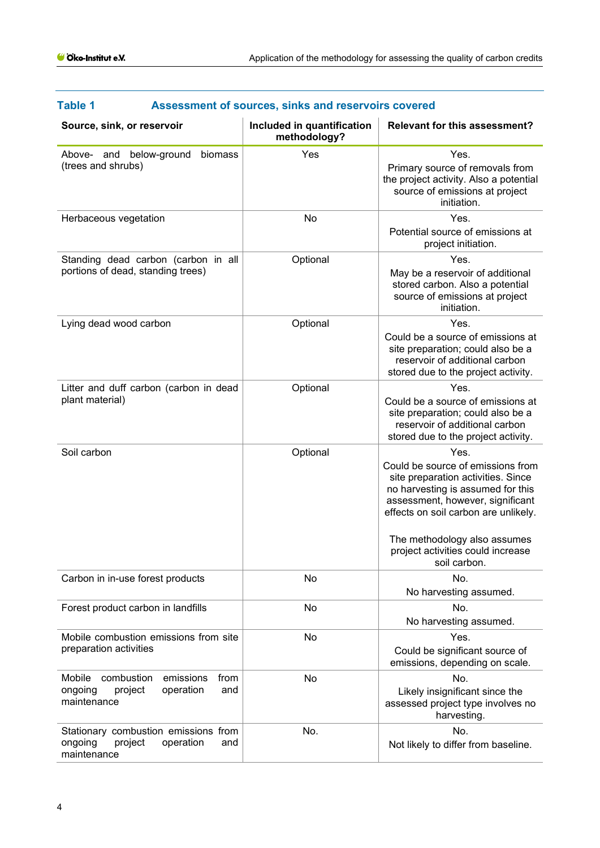| l anie T<br>Assessment of sources, sinks and reservoirs covered                                    |                                            |                                                                                                                                                                                                                                                                                       |  |
|----------------------------------------------------------------------------------------------------|--------------------------------------------|---------------------------------------------------------------------------------------------------------------------------------------------------------------------------------------------------------------------------------------------------------------------------------------|--|
| Source, sink, or reservoir                                                                         | Included in quantification<br>methodology? | <b>Relevant for this assessment?</b>                                                                                                                                                                                                                                                  |  |
| Above- and below-ground<br>biomass<br>(trees and shrubs)                                           | Yes                                        | Yes.<br>Primary source of removals from<br>the project activity. Also a potential<br>source of emissions at project<br>initiation.                                                                                                                                                    |  |
| Herbaceous vegetation                                                                              | No                                         | Yes.<br>Potential source of emissions at<br>project initiation.                                                                                                                                                                                                                       |  |
| Standing dead carbon (carbon in all<br>portions of dead, standing trees)                           | Optional                                   | Yes.<br>May be a reservoir of additional<br>stored carbon. Also a potential<br>source of emissions at project<br>initiation.                                                                                                                                                          |  |
| Lying dead wood carbon                                                                             | Optional                                   | Yes.<br>Could be a source of emissions at<br>site preparation; could also be a<br>reservoir of additional carbon<br>stored due to the project activity.                                                                                                                               |  |
| Litter and duff carbon (carbon in dead<br>plant material)                                          | Optional                                   | Yes.<br>Could be a source of emissions at<br>site preparation; could also be a<br>reservoir of additional carbon<br>stored due to the project activity.                                                                                                                               |  |
| Soil carbon                                                                                        | Optional                                   | Yes.<br>Could be source of emissions from<br>site preparation activities. Since<br>no harvesting is assumed for this<br>assessment, however, significant<br>effects on soil carbon are unlikely.<br>The methodology also assumes<br>project activities could increase<br>soil carbon. |  |
| Carbon in in-use forest products                                                                   | No                                         | No.<br>No harvesting assumed.                                                                                                                                                                                                                                                         |  |
| Forest product carbon in landfills                                                                 | No                                         | No.<br>No harvesting assumed.                                                                                                                                                                                                                                                         |  |
| Mobile combustion emissions from site<br>preparation activities                                    | No                                         | Yes.<br>Could be significant source of<br>emissions, depending on scale.                                                                                                                                                                                                              |  |
| Mobile<br>combustion<br>emissions<br>from<br>project<br>ongoing<br>operation<br>and<br>maintenance | No                                         | No.<br>Likely insignificant since the<br>assessed project type involves no<br>harvesting.                                                                                                                                                                                             |  |
| Stationary combustion emissions from<br>ongoing<br>project<br>operation<br>and<br>maintenance      | No.                                        | No.<br>Not likely to differ from baseline.                                                                                                                                                                                                                                            |  |

## **Table 1 Assessment of sources, sinks and reservoirs covered**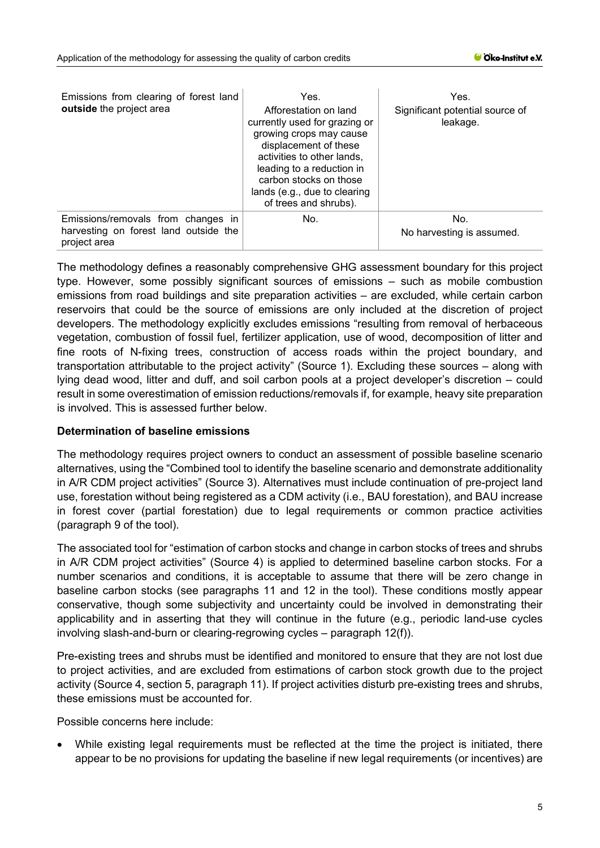| Emissions from clearing of forest land<br>outside the project area                          | Yes.<br>Afforestation on land<br>currently used for grazing or<br>growing crops may cause<br>displacement of these<br>activities to other lands,<br>leading to a reduction in<br>carbon stocks on those<br>lands (e.g., due to clearing<br>of trees and shrubs). | Yes.<br>Significant potential source of<br>leakage. |
|---------------------------------------------------------------------------------------------|------------------------------------------------------------------------------------------------------------------------------------------------------------------------------------------------------------------------------------------------------------------|-----------------------------------------------------|
| Emissions/removals from changes in<br>harvesting on forest land outside the<br>project area | No.                                                                                                                                                                                                                                                              | No.<br>No harvesting is assumed.                    |

The methodology defines a reasonably comprehensive GHG assessment boundary for this project type. However, some possibly significant sources of emissions – such as mobile combustion emissions from road buildings and site preparation activities – are excluded, while certain carbon reservoirs that could be the source of emissions are only included at the discretion of project developers. The methodology explicitly excludes emissions "resulting from removal of herbaceous vegetation, combustion of fossil fuel, fertilizer application, use of wood, decomposition of litter and fine roots of N-fixing trees, construction of access roads within the project boundary, and transportation attributable to the project activity" (Source 1). Excluding these sources – along with lying dead wood, litter and duff, and soil carbon pools at a project developer's discretion – could result in some overestimation of emission reductions/removals if, for example, heavy site preparation is involved. This is assessed further below.

#### **Determination of baseline emissions**

The methodology requires project owners to conduct an assessment of possible baseline scenario alternatives, using the "Combined tool to identify the baseline scenario and demonstrate additionality in A/R CDM project activities" (Source 3). Alternatives must include continuation of pre-project land use, forestation without being registered as a CDM activity (i.e., BAU forestation), and BAU increase in forest cover (partial forestation) due to legal requirements or common practice activities (paragraph 9 of the tool).

The associated tool for "estimation of carbon stocks and change in carbon stocks of trees and shrubs in A/R CDM project activities" (Source 4) is applied to determined baseline carbon stocks. For a number scenarios and conditions, it is acceptable to assume that there will be zero change in baseline carbon stocks (see paragraphs 11 and 12 in the tool). These conditions mostly appear conservative, though some subjectivity and uncertainty could be involved in demonstrating their applicability and in asserting that they will continue in the future (e.g., periodic land-use cycles involving slash-and-burn or clearing-regrowing cycles – paragraph 12(f)).

Pre-existing trees and shrubs must be identified and monitored to ensure that they are not lost due to project activities, and are excluded from estimations of carbon stock growth due to the project activity (Source 4, section 5, paragraph 11). If project activities disturb pre-existing trees and shrubs, these emissions must be accounted for.

Possible concerns here include:

• While existing legal requirements must be reflected at the time the project is initiated, there appear to be no provisions for updating the baseline if new legal requirements (or incentives) are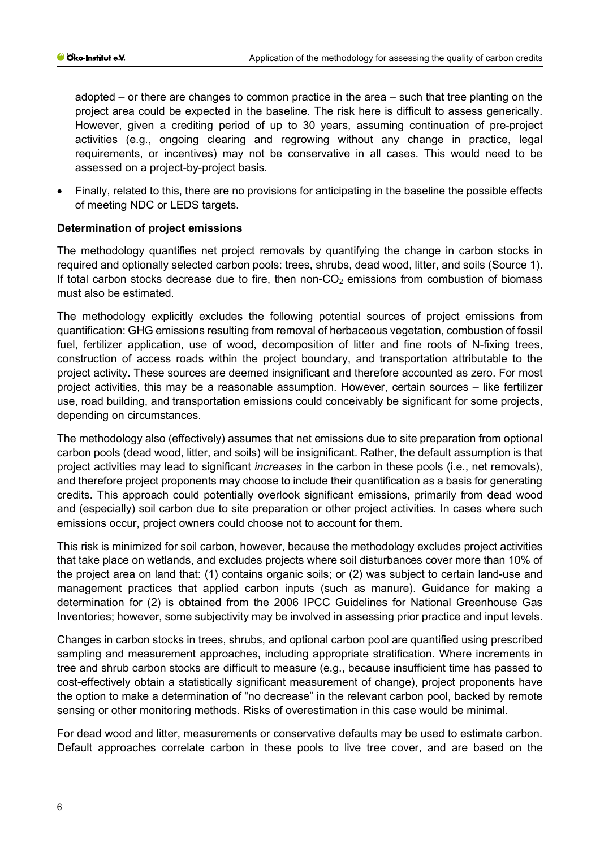adopted – or there are changes to common practice in the area – such that tree planting on the project area could be expected in the baseline. The risk here is difficult to assess generically. However, given a crediting period of up to 30 years, assuming continuation of pre-project activities (e.g., ongoing clearing and regrowing without any change in practice, legal requirements, or incentives) may not be conservative in all cases. This would need to be assessed on a project-by-project basis.

• Finally, related to this, there are no provisions for anticipating in the baseline the possible effects of meeting NDC or LEDS targets.

## **Determination of project emissions**

The methodology quantifies net project removals by quantifying the change in carbon stocks in required and optionally selected carbon pools: trees, shrubs, dead wood, litter, and soils (Source 1). If total carbon stocks decrease due to fire, then non- $CO<sub>2</sub>$  emissions from combustion of biomass must also be estimated.

The methodology explicitly excludes the following potential sources of project emissions from quantification: GHG emissions resulting from removal of herbaceous vegetation, combustion of fossil fuel, fertilizer application, use of wood, decomposition of litter and fine roots of N-fixing trees, construction of access roads within the project boundary, and transportation attributable to the project activity. These sources are deemed insignificant and therefore accounted as zero. For most project activities, this may be a reasonable assumption. However, certain sources – like fertilizer use, road building, and transportation emissions could conceivably be significant for some projects, depending on circumstances.

The methodology also (effectively) assumes that net emissions due to site preparation from optional carbon pools (dead wood, litter, and soils) will be insignificant. Rather, the default assumption is that project activities may lead to significant *increases* in the carbon in these pools (i.e., net removals), and therefore project proponents may choose to include their quantification as a basis for generating credits. This approach could potentially overlook significant emissions, primarily from dead wood and (especially) soil carbon due to site preparation or other project activities. In cases where such emissions occur, project owners could choose not to account for them.

This risk is minimized for soil carbon, however, because the methodology excludes project activities that take place on wetlands, and excludes projects where soil disturbances cover more than 10% of the project area on land that: (1) contains organic soils; or (2) was subject to certain land-use and management practices that applied carbon inputs (such as manure). Guidance for making a determination for (2) is obtained from the 2006 IPCC Guidelines for National Greenhouse Gas Inventories; however, some subjectivity may be involved in assessing prior practice and input levels.

Changes in carbon stocks in trees, shrubs, and optional carbon pool are quantified using prescribed sampling and measurement approaches, including appropriate stratification. Where increments in tree and shrub carbon stocks are difficult to measure (e.g., because insufficient time has passed to cost-effectively obtain a statistically significant measurement of change), project proponents have the option to make a determination of "no decrease" in the relevant carbon pool, backed by remote sensing or other monitoring methods. Risks of overestimation in this case would be minimal.

For dead wood and litter, measurements or conservative defaults may be used to estimate carbon. Default approaches correlate carbon in these pools to live tree cover, and are based on the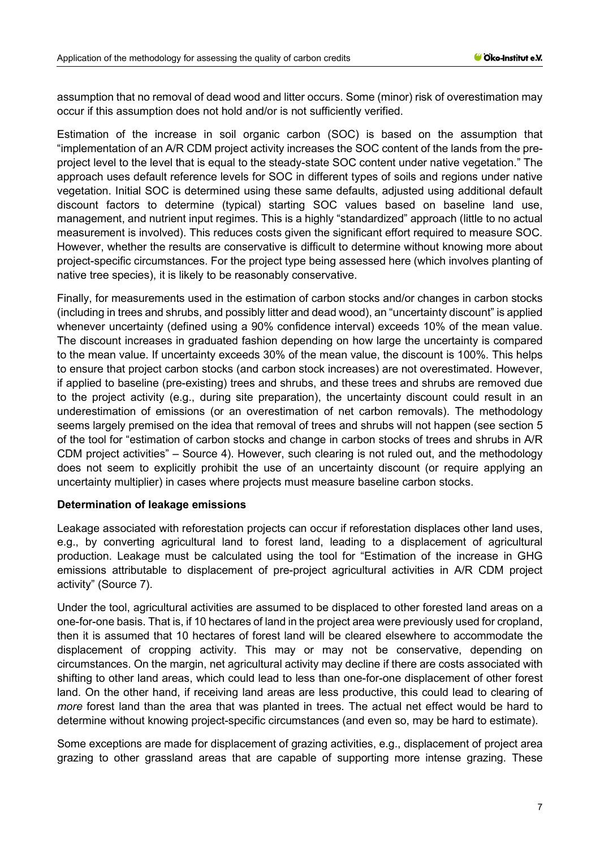assumption that no removal of dead wood and litter occurs. Some (minor) risk of overestimation may occur if this assumption does not hold and/or is not sufficiently verified.

Estimation of the increase in soil organic carbon (SOC) is based on the assumption that "implementation of an A/R CDM project activity increases the SOC content of the lands from the preproject level to the level that is equal to the steady-state SOC content under native vegetation." The approach uses default reference levels for SOC in different types of soils and regions under native vegetation. Initial SOC is determined using these same defaults, adjusted using additional default discount factors to determine (typical) starting SOC values based on baseline land use, management, and nutrient input regimes. This is a highly "standardized" approach (little to no actual measurement is involved). This reduces costs given the significant effort required to measure SOC. However, whether the results are conservative is difficult to determine without knowing more about project-specific circumstances. For the project type being assessed here (which involves planting of native tree species), it is likely to be reasonably conservative.

Finally, for measurements used in the estimation of carbon stocks and/or changes in carbon stocks (including in trees and shrubs, and possibly litter and dead wood), an "uncertainty discount" is applied whenever uncertainty (defined using a 90% confidence interval) exceeds 10% of the mean value. The discount increases in graduated fashion depending on how large the uncertainty is compared to the mean value. If uncertainty exceeds 30% of the mean value, the discount is 100%. This helps to ensure that project carbon stocks (and carbon stock increases) are not overestimated. However, if applied to baseline (pre-existing) trees and shrubs, and these trees and shrubs are removed due to the project activity (e.g., during site preparation), the uncertainty discount could result in an underestimation of emissions (or an overestimation of net carbon removals). The methodology seems largely premised on the idea that removal of trees and shrubs will not happen (see section 5 of the tool for "estimation of carbon stocks and change in carbon stocks of trees and shrubs in A/R CDM project activities" – Source 4). However, such clearing is not ruled out, and the methodology does not seem to explicitly prohibit the use of an uncertainty discount (or require applying an uncertainty multiplier) in cases where projects must measure baseline carbon stocks.

#### **Determination of leakage emissions**

Leakage associated with reforestation projects can occur if reforestation displaces other land uses, e.g., by converting agricultural land to forest land, leading to a displacement of agricultural production. Leakage must be calculated using the tool for "Estimation of the increase in GHG emissions attributable to displacement of pre-project agricultural activities in A/R CDM project activity" (Source 7).

Under the tool, agricultural activities are assumed to be displaced to other forested land areas on a one-for-one basis. That is, if 10 hectares of land in the project area were previously used for cropland, then it is assumed that 10 hectares of forest land will be cleared elsewhere to accommodate the displacement of cropping activity. This may or may not be conservative, depending on circumstances. On the margin, net agricultural activity may decline if there are costs associated with shifting to other land areas, which could lead to less than one-for-one displacement of other forest land. On the other hand, if receiving land areas are less productive, this could lead to clearing of *more* forest land than the area that was planted in trees. The actual net effect would be hard to determine without knowing project-specific circumstances (and even so, may be hard to estimate).

Some exceptions are made for displacement of grazing activities, e.g., displacement of project area grazing to other grassland areas that are capable of supporting more intense grazing. These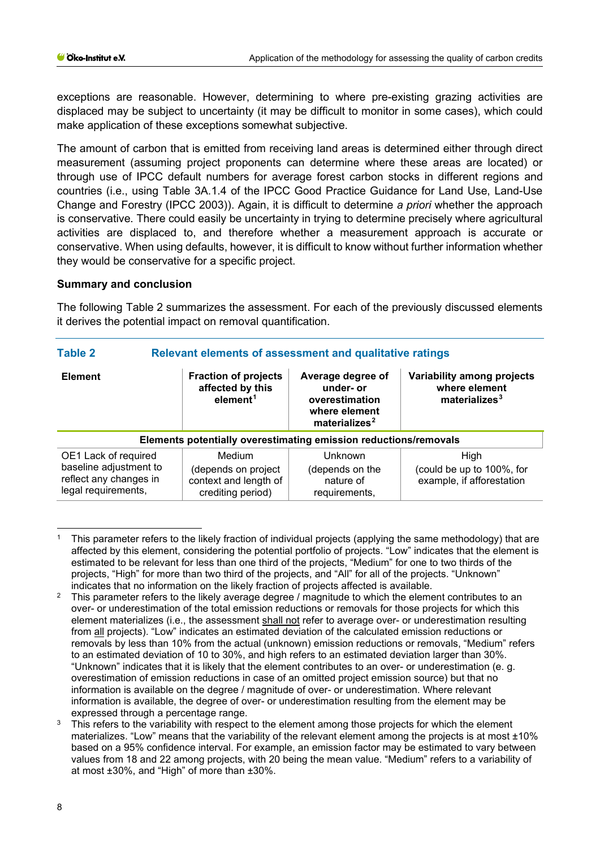exceptions are reasonable. However, determining to where pre-existing grazing activities are displaced may be subject to uncertainty (it may be difficult to monitor in some cases), which could make application of these exceptions somewhat subjective.

The amount of carbon that is emitted from receiving land areas is determined either through direct measurement (assuming project proponents can determine where these areas are located) or through use of IPCC default numbers for average forest carbon stocks in different regions and countries (i.e., using Table 3A.1.4 of the IPCC Good Practice Guidance for Land Use, Land-Use Change and Forestry (IPCC 2003)). Again, it is difficult to determine *a priori* whether the approach is conservative. There could easily be uncertainty in trying to determine precisely where agricultural activities are displaced to, and therefore whether a measurement approach is accurate or conservative. When using defaults, however, it is difficult to know without further information whether they would be conservative for a specific project.

#### **Summary and conclusion**

The following Table 2 summarizes the assessment. For each of the previously discussed elements it derives the potential impact on removal quantification.

| <b>Table 2</b><br>Relevant elements of assessment and qualitative ratings                       |                                                                             |                                                                                                |                                                                          |  |
|-------------------------------------------------------------------------------------------------|-----------------------------------------------------------------------------|------------------------------------------------------------------------------------------------|--------------------------------------------------------------------------|--|
| <b>Element</b>                                                                                  | <b>Fraction of projects</b><br>affected by this<br>element <sup>1</sup>     | Average degree of<br>under- or<br>overestimation<br>where element<br>materializes <sup>2</sup> | Variability among projects<br>where element<br>materializes <sup>3</sup> |  |
| Elements potentially overestimating emission reductions/removals                                |                                                                             |                                                                                                |                                                                          |  |
| OE1 Lack of required<br>baseline adjustment to<br>reflect any changes in<br>legal requirements, | Medium<br>(depends on project<br>context and length of<br>crediting period) | Unknown<br>(depends on the<br>nature of<br>requirements,                                       | High<br>(could be up to 100%, for<br>example, if afforestation           |  |

<span id="page-7-0"></span><sup>1</sup> This parameter refers to the likely fraction of individual projects (applying the same methodology) that are affected by this element, considering the potential portfolio of projects. "Low" indicates that the element is estimated to be relevant for less than one third of the projects, "Medium" for one to two thirds of the projects, "High" for more than two third of the projects, and "All" for all of the projects. "Unknown" indicates that no information on the likely fraction of projects affected is available.

<span id="page-7-1"></span><sup>&</sup>lt;sup>2</sup> This parameter refers to the likely average degree / magnitude to which the element contributes to an over- or underestimation of the total emission reductions or removals for those projects for which this element materializes (i.e., the assessment shall not refer to average over- or underestimation resulting from all projects). "Low" indicates an estimated deviation of the calculated emission reductions or removals by less than 10% from the actual (unknown) emission reductions or removals, "Medium" refers to an estimated deviation of 10 to 30%, and high refers to an estimated deviation larger than 30%. "Unknown" indicates that it is likely that the element contributes to an over- or underestimation (e. g. overestimation of emission reductions in case of an omitted project emission source) but that no information is available on the degree / magnitude of over- or underestimation. Where relevant information is available, the degree of over- or underestimation resulting from the element may be expressed through a percentage range.

<span id="page-7-2"></span>This refers to the variability with respect to the element among those projects for which the element materializes. "Low" means that the variability of the relevant element among the projects is at most ±10% based on a 95% confidence interval. For example, an emission factor may be estimated to vary between values from 18 and 22 among projects, with 20 being the mean value. "Medium" refers to a variability of at most ±30%, and "High" of more than ±30%.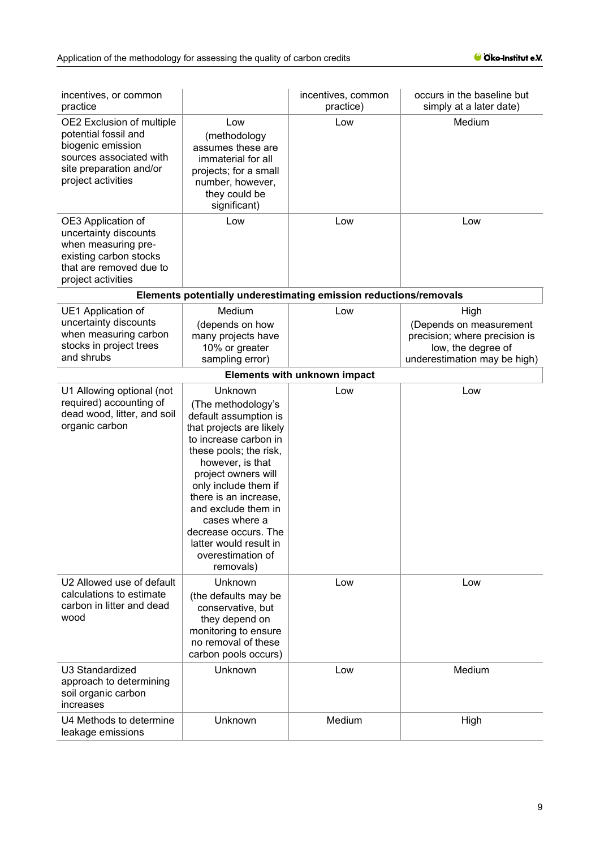| incentives, or common<br>practice                                                                                                                  |                                                                                                                                                                                                                                                                                                                                                               | incentives, common<br>practice)                                   | occurs in the baseline but<br>simply at a later date)                                                                  |
|----------------------------------------------------------------------------------------------------------------------------------------------------|---------------------------------------------------------------------------------------------------------------------------------------------------------------------------------------------------------------------------------------------------------------------------------------------------------------------------------------------------------------|-------------------------------------------------------------------|------------------------------------------------------------------------------------------------------------------------|
| OE2 Exclusion of multiple<br>potential fossil and<br>biogenic emission<br>sources associated with<br>site preparation and/or<br>project activities | Low<br>(methodology<br>assumes these are<br>immaterial for all<br>projects; for a small<br>number, however,<br>they could be<br>significant)                                                                                                                                                                                                                  | Low                                                               | Medium                                                                                                                 |
| OE3 Application of<br>uncertainty discounts<br>when measuring pre-<br>existing carbon stocks<br>that are removed due to<br>project activities      | Low                                                                                                                                                                                                                                                                                                                                                           | Low                                                               | Low                                                                                                                    |
|                                                                                                                                                    |                                                                                                                                                                                                                                                                                                                                                               | Elements potentially underestimating emission reductions/removals |                                                                                                                        |
| UE1 Application of<br>uncertainty discounts<br>when measuring carbon<br>stocks in project trees<br>and shrubs                                      | Medium<br>(depends on how<br>many projects have<br>10% or greater<br>sampling error)                                                                                                                                                                                                                                                                          | Low                                                               | High<br>(Depends on measurement<br>precision; where precision is<br>low, the degree of<br>underestimation may be high) |
|                                                                                                                                                    |                                                                                                                                                                                                                                                                                                                                                               | <b>Elements with unknown impact</b>                               |                                                                                                                        |
| U1 Allowing optional (not<br>required) accounting of<br>dead wood, litter, and soil<br>organic carbon                                              | Unknown<br>(The methodology's<br>default assumption is<br>that projects are likely<br>to increase carbon in<br>these pools; the risk,<br>however, is that<br>project owners will<br>only include them if<br>there is an increase,<br>and exclude them in<br>cases where a<br>decrease occurs. The<br>latter would result in<br>overestimation of<br>removals) | Low                                                               | Low                                                                                                                    |
| U2 Allowed use of default<br>calculations to estimate<br>carbon in litter and dead<br>wood                                                         | Unknown<br>(the defaults may be<br>conservative, but<br>they depend on<br>monitoring to ensure<br>no removal of these<br>carbon pools occurs)                                                                                                                                                                                                                 | Low                                                               | Low                                                                                                                    |
| U3 Standardized<br>approach to determining<br>soil organic carbon<br>increases                                                                     | Unknown                                                                                                                                                                                                                                                                                                                                                       | Low                                                               | Medium                                                                                                                 |
| U4 Methods to determine<br>leakage emissions                                                                                                       | Unknown                                                                                                                                                                                                                                                                                                                                                       | Medium                                                            | High                                                                                                                   |